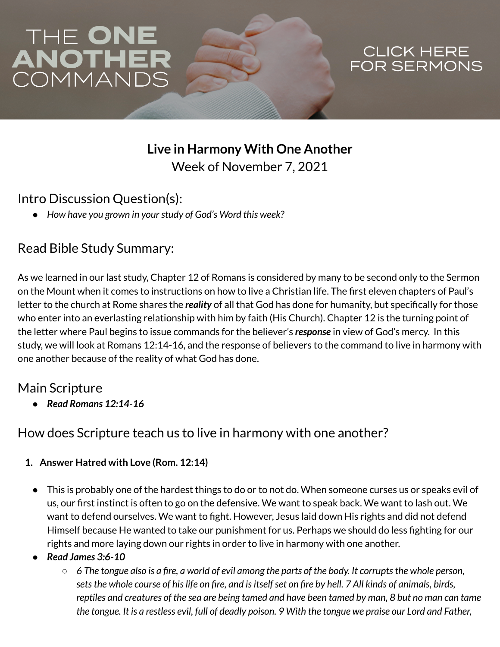# THE ONE<br>ANOTHER<br>COMMANDS

# CLICK HERE<br>FOR SERMONS

## **Live in Harmony With One Another** Week of November 7, 2021

#### Intro Discussion Question(s):

*● How have you grown in yourstudy of God's Word this week?*

## Read Bible Study Summary:

As we learned in our last study, Chapter 12 of Romans is considered by many to be second only to the Sermon on the Mount when it comes to instructions on how to live a Christian life. The first eleven chapters of Paul's letter to the church at Rome shares the *reality* of all that God has done for humanity, but specifically for those who enter into an everlasting relationship with him by faith (His Church). Chapter 12 is the turning point of the letter where Paul begins to issue commands for the believer's *response* in view of God's mercy. In this study, we will look at Romans 12:14-16, and the response of believers to the command to live in harmony with one another because of the reality of what God has done.

#### Main Scripture

*● Read Romans 12:14-16*

#### How does Scripture teach us to live in harmony with one another?

- **1. Answer Hatred with Love (Rom. 12:14)**
	- This is probably one of the hardest things to do or to not do. When someone curses us or speaks evil of us, our first instinct is often to go on the defensive. We want to speak back. We want to lash out. We want to defend ourselves. We want to fight. However, Jesus laid down His rights and did not defend Himself because He wanted to take our punishment for us. Perhaps we should do less fighting for our rights and more laying down our rights in order to live in harmony with one another.
	- **●** *Read James 3:6-10*
		- $\circ$  6 The tongue also is a fire, a world of evil among the parts of the body. It corrupts the whole person, sets the whole course of his life on fire, and is itself set on fire by hell. 7 All kinds of animals, birds, reptiles and creatures of the sea are being tamed and have been tamed by man, 8 but no man can tame the tongue. It is a restless evil, full of deadly poison. 9 With the tongue we praise our Lord and Father,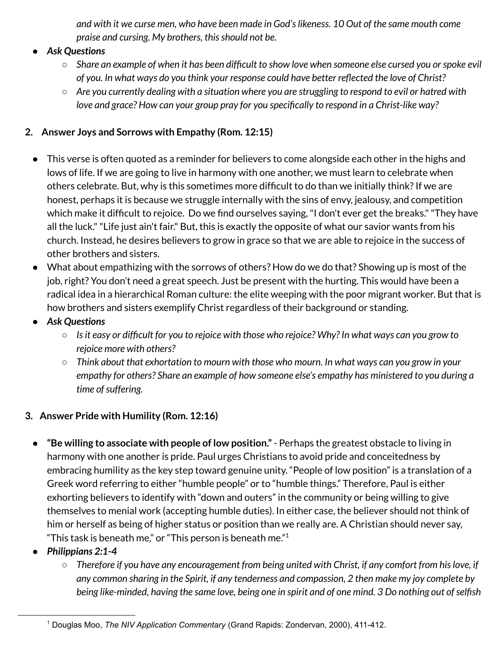and with it we curse men, who have been made in God's likeness. 10 Out of the same mouth come *praise and cursing. My brothers, thisshould not be.*

- **●** *Ask Questions*
	- o Share an example of when it has been difficult to show love when someone else cursed you or spoke evil *of you. In what ways do you think your response could have better reflected the love of Christ?*
	- $\circ$  Are you currently dealing with a situation where you are struggling to respond to evil or hatred with *love and grace? How can your group pray for you specifically to respond in a Christ-like way?*

#### **2. Answer Joys and Sorrows with Empathy (Rom. 12:15)**

- This verse is often quoted as a reminder for believers to come alongside each other in the highs and lows of life. If we are going to live in harmony with one another, we must learn to celebrate when others celebrate. But, why is this sometimes more difficult to do than we initially think?If we are honest, perhaps it is because we struggle internally with the sins of envy, jealousy, and competition which make it difficult to rejoice. Do we find ourselves saying,"I don't ever get the breaks.""They have all the luck.""Life just ain't fair." But, this is exactly the opposite of what our savior wants from his church. Instead, he desires believers to grow in grace so that we are able to rejoice in the success of other brothers and sisters.
- What about empathizing with the sorrows of others? How do we do that? Showing up is most of the job, right? You don't need a great speech. Just be present with the hurting. This would have been a radical idea in a hierarchical Roman culture: the elite weeping with the poor migrant worker. But that is how brothers and sisters exemplify Christ regardless of their background or standing.
- *● Ask Questions*
	- $\circ$  Is it easy or difficult for you to rejoice with those who rejoice? Why? In what ways can you grow to *rejoice more with others?*
	- $\circ$  Think about that exhortation to mourn with those who mourn. In what ways can you grow in your *empathy for others? Share an example of how someone else's empathy has ministered to you during a time ofsuffering.*

#### **3. Answer Pride with Humility (Rom. 12:16)**

- **"Be willing to associate with people of low position."** Perhaps the greatest obstacle to living in harmony with one another is pride. Paul urges Christians to avoid pride and conceitedness by embracing humility as the key step toward genuine unity. "People of low position" is a translation of a Greek word referring to either "humble people" or to "humble things." Therefore, Paul is either exhorting believers to identify with "down and outers" in the community or being willing to give themselves to menial work (accepting humble duties). In either case, the believer should not think of him or herself as being of higher status or position than we really are. A Christian should never say, "This task is beneath me," or "This person is beneath me." $^1$
- **●** *Philippians 2:1-4*
	- $\circ$  Therefore if you have any encouragement from being united with Christ, if any comfort from his love, if *any common sharing in the Spirit, if any tenderness and compassion, 2 then make my joy complete by* being like-minded, having the same love, being one in spirit and of one mind. 3 Do nothing out of selfish

<sup>1</sup> Douglas Moo, *The NIV Application Commentary* (Grand Rapids: Zondervan, 2000), 411-412.